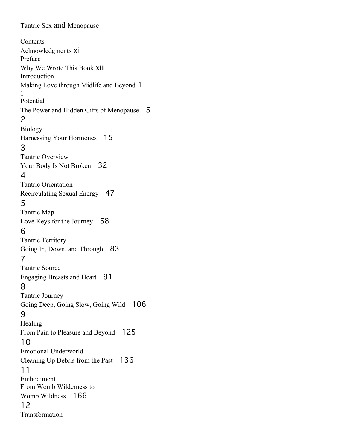# Tantric Sex and Menopause

**Contents** Acknowledgments xi Preface Why We Wrote This Book xiii Introduction Making Love through Midlife and Beyond 1 1 Potential The Power and Hidden Gifts of Menopause 5 2 Biology Harnessing Your Hormones 15 3 Tantric Overview Your Body Is Not Broken 32 4 Tantric Orientation Recirculating Sexual Energy 47 5 Tantric Map Love Keys for the Journey 58 6 Tantric Territory Going In, Down, and Through 83 7 Tantric Source Engaging Breasts and Heart 91 8 Tantric Journey Going Deep, Going Slow, Going Wild 106 9 Healing From Pain to Pleasure and Beyond 125 10 Emotional Underworld Cleaning Up Debris from the Past 136 11 Embodiment From Womb Wilderness to Womb Wildness 166 12 Transformation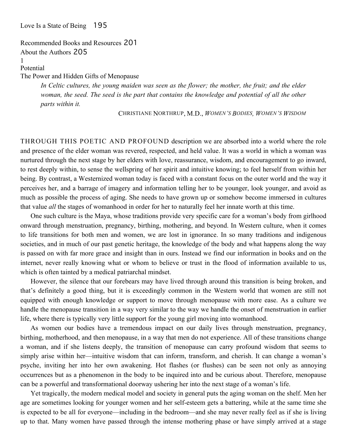Love Is a State of Being 195

Recommended Books and Resources 201 About the Authors 205 1 Potential The Power and Hidden Gifts of Menopause

> *In Celtic cultures, the young maiden was seen as the flower; the mother, the fruit; and the elder woman, the seed. The seed is the part that contains the knowledge and potential of all the other parts within it.*

> > CHRISTIANE NORTHRUP, M.D., *WOMEN'S BODIES, WOMEN'S WISDOM*

THROUGH THIS POETIC AND PROFOUND description we are absorbed into a world where the role and presence of the elder woman was revered, respected, and held value. It was a world in which a woman was nurtured through the next stage by her elders with love, reassurance, wisdom, and encouragement to go inward, to rest deeply within, to sense the wellspring of her spirit and intuitive knowing; to feel herself from within her being. By contrast, a Westernized woman today is faced with a constant focus on the outer world and the way it perceives her, and a barrage of imagery and information telling her to be younger, look younger, and avoid as much as possible the process of aging. She needs to have grown up or somehow become immersed in cultures that value *all* the stages of womanhood in order for her to naturally feel her innate worth at this time.

One such culture is the Maya, whose traditions provide very specific care for a woman's body from girlhood onward through menstruation, pregnancy, birthing, mothering, and beyond. In Western culture, when it comes to life transitions for both men and women, we are lost in ignorance. In so many traditions and indigenous societies, and in much of our past genetic heritage, the knowledge of the body and what happens along the way is passed on with far more grace and insight than in ours. Instead we find our information in books and on the internet, never really knowing what or whom to believe or trust in the flood of information available to us, which is often tainted by a medical patriarchal mindset.

However, the silence that our forebears may have lived through around this transition is being broken, and that's definitely a good thing, but it is exceedingly common in the Western world that women are still not equipped with enough knowledge or support to move through menopause with more ease. As a culture we handle the menopause transition in a way very similar to the way we handle the onset of menstruation in earlier life, where there is typically very little support for the young girl moving into womanhood.

As women our bodies have a tremendous impact on our daily lives through menstruation, pregnancy, birthing, motherhood, and then menopause, in a way that men do not experience. All of these transitions change a woman, and if she listens deeply, the transition of menopause can carry profound wisdom that seems to simply arise within her—intuitive wisdom that can inform, transform, and cherish. It can change a woman's psyche, inviting her into her own awakening. Hot flashes (or flushes) can be seen not only as annoying occurrences but as a phenomenon in the body to be inquired into and be curious about. Therefore, menopause can be a powerful and transformational doorway ushering her into the next stage of a woman's life.

Yet tragically, the modern medical model and society in general puts the aging woman on the shelf. Men her age are sometimes looking for younger women and her self-esteem gets a battering, while at the same time she is expected to be all for everyone—including in the bedroom—and she may never really feel as if she is living up to that. Many women have passed through the intense mothering phase or have simply arrived at a stage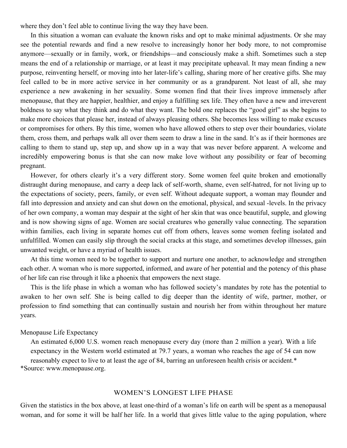where they don't feel able to continue living the way they have been.

In this situation a woman can evaluate the known risks and opt to make minimal adjustments. Or she may see the potential rewards and find a new resolve to increasingly honor her body more, to not compromise anymore—sexually or in family, work, or friendships—and consciously make a shift. Sometimes such a step means the end of a relationship or marriage, or at least it may precipitate upheaval. It may mean finding a new purpose, reinventing herself, or moving into her later-life's calling, sharing more of her creative gifts. She may feel called to be in more active service in her community or as a grandparent. Not least of all, she may experience a new awakening in her sexuality. Some women find that their lives improve immensely after menopause, that they are happier, healthier, and enjoy a fulfilling sex life. They often have a new and irreverent boldness to say what they think and do what they want. The bold one replaces the "good girl" as she begins to make more choices that please her, instead of always pleasing others. She becomes less willing to make excuses or compromises for others. By this time, women who have allowed others to step over their boundaries, violate them, cross them, and perhaps walk all over them seem to draw a line in the sand. It's as if their hormones are calling to them to stand up, step up, and show up in a way that was never before apparent. A welcome and incredibly empowering bonus is that she can now make love without any possibility or fear of becoming pregnant.

However, for others clearly it's a very different story. Some women feel quite broken and emotionally distraught during menopause, and carry a deep lack of self-worth, shame, even self-hatred, for not living up to the expectations of society, peers, family, or even self. Without adequate support, a woman may flounder and fall into depression and anxiety and can shut down on the emotional, physical, and sexual -levels. In the privacy of her own company, a woman may despair at the sight of her skin that was once beautiful, supple, and glowing and is now showing signs of age. Women are social creatures who generally value connecting. The separation within families, each living in separate homes cut off from others, leaves some women feeling isolated and unfulfilled. Women can easily slip through the social cracks at this stage, and sometimes develop illnesses, gain unwanted weight, or have a myriad of health issues.

At this time women need to be together to support and nurture one another, to acknowledge and strengthen each other. A woman who is more supported, informed, and aware of her potential and the potency of this phase of her life can rise through it like a phoenix that empowers the next stage.

This is the life phase in which a woman who has followed society's mandates by rote has the potential to awaken to her own self. She is being called to dig deeper than the identity of wife, partner, mother, or profession to find something that can continually sustain and nourish her from within throughout her mature years.

## Menopause Life Expectancy

An estimated 6,000 U.S. women reach menopause every day (more than 2 million a year). With a life expectancy in the Western world estimated at 79.7 years, a woman who reaches the age of 54 can now reasonably expect to live to at least the age of 84, barring an unforeseen health crisis or accident.\* \*Source: www.menopause.org.

# WOMEN'S LONGEST LIFE PHASE

Given the statistics in the box above, at least one-third of a woman's life on earth will be spent as a menopausal woman, and for some it will be half her life. In a world that gives little value to the aging population, where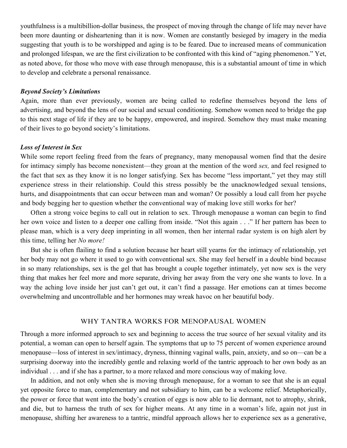youthfulness is a multibillion-dollar business, the prospect of moving through the change of life may never have been more daunting or disheartening than it is now. Women are constantly besieged by imagery in the media suggesting that youth is to be worshipped and aging is to be feared. Due to increased means of communication and prolonged lifespan, we are the first civilization to be confronted with this kind of "aging phenomenon." Yet, as noted above, for those who move with ease through menopause, this is a substantial amount of time in which to develop and celebrate a personal renaissance.

#### *Beyond Society's Limitations*

Again, more than ever previously, women are being called to redefine themselves beyond the lens of advertising, and beyond the lens of our social and sexual conditioning. Somehow women need to bridge the gap to this next stage of life if they are to be happy, empowered, and inspired. Somehow they must make meaning of their lives to go beyond society's limitations.

## *Loss of Interest in Sex*

While some report feeling freed from the fears of pregnancy, many menopausal women find that the desire for intimacy simply has become nonexistent—they groan at the mention of the word *sex,* and feel resigned to the fact that sex as they know it is no longer satisfying. Sex has become "less important," yet they may still experience stress in their relationship. Could this stress possibly be the unacknowledged sexual tensions, hurts, and disappointments that can occur between man and woman? Or possibly a loud call from her psyche and body begging her to question whether the conventional way of making love still works for her?

Often a strong voice begins to call out in relation to sex. Through menopause a woman can begin to find her own voice and listen to a deeper one calling from inside. "Not this again . . ." If her pattern has been to please man, which is a very deep imprinting in all women, then her internal radar system is on high alert by this time, telling her *No more!*

But she is often flailing to find a solution because her heart still yearns for the intimacy of relationship, yet her body may not go where it used to go with conventional sex. She may feel herself in a double bind because in so many relationships, sex is the gel that has brought a couple together intimately, yet now sex is the very thing that makes her feel more and more separate, driving her away from the very one she wants to love. In a way the aching love inside her just can't get out, it can't find a passage. Her emotions can at times become overwhelming and uncontrollable and her hormones may wreak havoc on her beautiful body.

# WHY TANTRA WORKS FOR MENOPAUSAL WOMEN

Through a more informed approach to sex and beginning to access the true source of her sexual vitality and its potential, a woman can open to herself again. The symptoms that up to 75 percent of women experience around menopause—loss of interest in sex/intimacy, dryness, thinning vaginal walls, pain, anxiety, and so on—can be a surprising doorway into the incredibly gentle and relaxing world of the tantric approach to her own body as an individual . . . and if she has a partner, to a more relaxed and more conscious way of making love.

In addition, and not only when she is moving through menopause, for a woman to see that she is an equal yet opposite force to man, complementary and not subsidiary to him, can be a welcome relief. Metaphorically, the power or force that went into the body's creation of eggs is now able to lie dormant, not to atrophy, shrink, and die, but to harness the truth of sex for higher means. At any time in a woman's life, again not just in menopause, shifting her awareness to a tantric, mindful approach allows her to experience sex as a generative,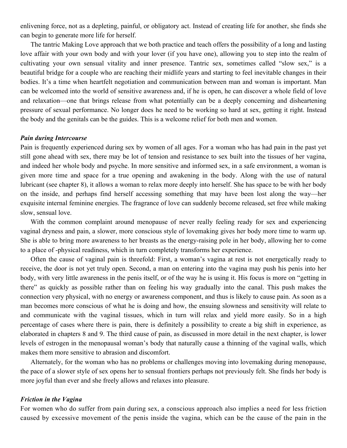enlivening force, not as a depleting, painful, or obligatory act. Instead of creating life for another, she finds she can begin to generate more life for herself.

The tantric Making Love approach that we both practice and teach offers the possibility of a long and lasting love affair with your own body and with your lover (if you have one), allowing you to step into the realm of cultivating your own sensual vitality and inner presence. Tantric sex, sometimes called "slow sex," is a beautiful bridge for a couple who are reaching their midlife years and starting to feel inevitable changes in their bodies. It's a time when heartfelt negotiation and communication between man and woman is important. Man can be welcomed into the world of sensitive awareness and, if he is open, he can discover a whole field of love and relaxation—one that brings release from what potentially can be a deeply concerning and disheartening pressure of sexual performance. No longer does he need to be working so hard at sex, getting it right. Instead the body and the genitals can be the guides. This is a welcome relief for both men and women.

#### *Pain during Intercourse*

Pain is frequently experienced during sex by women of all ages. For a woman who has had pain in the past yet still gone ahead with sex, there may be lot of tension and resistance to sex built into the tissues of her vagina, and indeed her whole body and psyche. In more sensitive and informed sex, in a safe environment, a woman is given more time and space for a true opening and awakening in the body. Along with the use of natural lubricant (see chapter 8), it allows a woman to relax more deeply into herself. She has space to be with her body on the inside, and perhaps find herself accessing something that may have been lost along the way—her exquisite internal feminine energies. The fragrance of love can suddenly become released, set free while making slow, sensual love.

With the common complaint around menopause of never really feeling ready for sex and experiencing vaginal dryness and pain, a slower, more conscious style of lovemaking gives her body more time to warm up. She is able to bring more awareness to her breasts as the energy-raising pole in her body, allowing her to come to a place of -physical readiness, which in turn completely transforms her experience.

Often the cause of vaginal pain is threefold: First, a woman's vagina at rest is not energetically ready to receive, the door is not yet truly open. Second, a man on entering into the vagina may push his penis into her body, with very little awareness in the penis itself, or of the way he is using it. His focus is more on "getting in there" as quickly as possible rather than on feeling his way gradually into the canal. This push makes the connection very physical, with no energy or awareness component, and thus is likely to cause pain. As soon as a man becomes more conscious of what he is doing and how, the ensuing slowness and sensitivity will relate to and communicate with the vaginal tissues, which in turn will relax and yield more easily. So in a high percentage of cases where there is pain, there is definitely a possibility to create a big shift in experience, as elaborated in chapters 8 and 9. The third cause of pain, as discussed in more detail in the next chapter, is lower levels of estrogen in the menopausal woman's body that naturally cause a thinning of the vaginal walls, which makes them more sensitive to abrasion and discomfort.

Alternately, for the woman who has no problems or challenges moving into lovemaking during menopause, the pace of a slower style of sex opens her to sensual frontiers perhaps not previously felt. She finds her body is more joyful than ever and she freely allows and relaxes into pleasure.

#### *Friction in the Vagina*

For women who do suffer from pain during sex, a conscious approach also implies a need for less friction caused by excessive movement of the penis inside the vagina, which can be the cause of the pain in the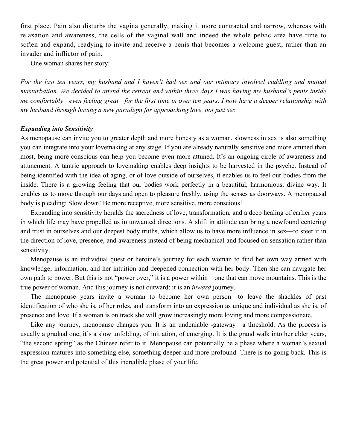first place. Pain also disturbs the vagina generally, making it more contracted and narrow, whereas with relaxation and awareness, the cells of the vaginal wall and indeed the whole pelvic area have time to soften and expand, readying to invite and receive a penis that becomes a welcome guest, rather than an invader and inflictor of pain.

One woman shares her story:

*For the last ten years, my husband and I haven't had sex and our intimacy involved cuddling and mutual masturbation. We decided to attend the retreat and within three days I was having my husband's penis inside me comfortably—even feeling great—for the first time in over ten years. I now have a deeper relationship with my husband through having a new paradigm for approaching love, not just sex.*

## *Expanding into Sensitivity*

As menopause can invite you to greater depth and more honesty as a woman, slowness in sex is also something you can integrate into your lovemaking at any stage. If you are already naturally sensitive and more attuned than most, being more conscious can help you become even more attuned. It's an ongoing circle of awareness and attunement. A tantric approach to lovemaking enables deep insights to be harvested in the psyche. Instead of being identified with the idea of aging, or of love outside of ourselves, it enables us to feel our bodies from the inside. There is a growing feeling that our bodies work perfectly in a beautiful, harmonious, divine way. It enables us to move through our days and open to pleasure freshly, using the senses as doorways. A menopausal body is pleading: Slow down! Be more receptive, more sensitive, more conscious!

Expanding into sensitivity heralds the sacredness of love, transformation, and a deep healing of earlier years in which life may have propelled us in unwanted directions. A shift in attitude can bring a newfound centering and trust in ourselves and our deepest body truths, which allow us to have more influence in sex—to steer it in the direction of love, presence, and awareness instead of being mechanical and focused on sensation rather than sensitivity.

Menopause is an individual quest or heroine's journey for each woman to find her own way armed with knowledge, information, and her intuition and deepened connection with her body. Then she can navigate her own path to power. But this is not "power over," it is a power within—one that can move mountains. This is the true power of woman. And this journey is not outward; it is an *inward* journey.

The menopause years invite a woman to become her own person—to leave the shackles of past identification of who she is, of her roles, and transform into an expression as unique and individual as she is, of presence and love. If a woman is on track she will grow increasingly more loving and more compassionate.

Like any journey, menopause changes you. It is an undeniable -gateway—a threshold. As the process is usually a gradual one, it's a slow unfolding, of initiation, of emerging. It is the grand walk into her elder years, "the second spring" as the Chinese refer to it. Menopause can potentially be a phase where a woman's sexual expression matures into something else, something deeper and more profound. There is no going back. This is the great power and potential of this incredible phase of your life.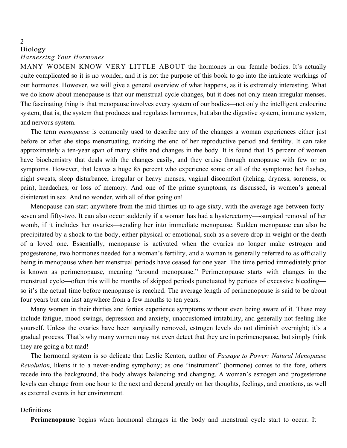# 2 Biology *Harnessing Your Hormones*

MANY WOMEN KNOW VERY LITTLE ABOUT the hormones in our female bodies. It's actually quite complicated so it is no wonder, and it is not the purpose of this book to go into the intricate workings of our hormones. However, we will give a general overview of what happens, as it is extremely interesting. What we do know about menopause is that our menstrual cycle changes, but it does not only mean irregular menses. The fascinating thing is that menopause involves every system of our bodies—not only the intelligent endocrine system, that is, the system that produces and regulates hormones, but also the digestive system, immune system, and nervous system.

The term *menopause* is commonly used to describe any of the changes a woman experiences either just before or after she stops menstruating, marking the end of her reproductive period and fertility. It can take approximately a ten-year span of many shifts and changes in the body. It is found that 15 percent of women have biochemistry that deals with the changes easily, and they cruise through menopause with few or no symptoms. However, that leaves a huge 85 percent who experience some or all of the symptoms: hot flashes, night sweats, sleep disturbance, irregular or heavy menses, vaginal discomfort (itching, dryness, soreness, or pain), headaches, or loss of memory. And one of the prime symptoms, as discussed, is women's general disinterest in sex. And no wonder, with all of that going on!

Menopause can start anywhere from the mid-thirties up to age sixty, with the average age between fortyseven and fifty-two. It can also occur suddenly if a woman has had a hysterectomy—-surgical removal of her womb, if it includes her ovaries—sending her into immediate menopause. Sudden menopause can also be precipitated by a shock to the body, either physical or emotional, such as a severe drop in weight or the death of a loved one. Essentially, menopause is activated when the ovaries no longer make estrogen and progesterone, two hormones needed for a woman's fertility, and a woman is generally referred to as officially being in menopause when her menstrual periods have ceased for one year. The time period immediately prior is known as perimenopause, meaning "around menopause." Perimenopause starts with changes in the menstrual cycle—often this will be months of skipped periods punctuated by periods of excessive bleeding so it's the actual time before menopause is reached. The average length of perimenopause is said to be about four years but can last anywhere from a few months to ten years.

Many women in their thirties and forties experience symptoms without even being aware of it. These may include fatigue, mood swings, depression and anxiety, unaccustomed irritability, and generally not feeling like yourself. Unless the ovaries have been surgically removed, estrogen levels do not diminish overnight; it's a gradual process. That's why many women may not even detect that they are in perimenopause, but simply think they are going a bit mad!

The hormonal system is so delicate that Leslie Kenton, author of *Passage to Power: Natural Menopause Revolution*, likens it to a never-ending symphony; as one "instrument" (hormone) comes to the fore, others recede into the background, the body always balancing and changing. A woman's estrogen and progesterone levels can change from one hour to the next and depend greatly on her thoughts, feelings, and emotions, as well as external events in her environment.

#### Definitions

**Perimenopause** begins when hormonal changes in the body and menstrual cycle start to occur. It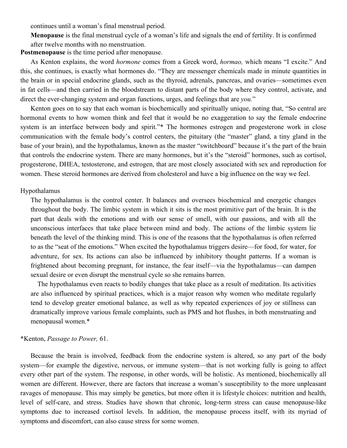continues until a woman's final menstrual period.

**Menopause** is the final menstrual cycle of a woman's life and signals the end of fertility. It is confirmed after twelve months with no menstruation.

**Postmenopause** is the time period after menopause.

As Kenton explains, the word *hormone* comes from a Greek word, *hormao,* which means "I excite." And this, she continues, is exactly what hormones do. "They are messenger chemicals made in minute quantities in the brain or in special endocrine glands, such as the thyroid, adrenals, pancreas, and ovaries—sometimes even in fat cells—and then carried in the bloodstream to distant parts of the body where they control, activate, and direct the ever-changing system and organ functions, urges, and feelings that are *you.*"

Kenton goes on to say that each woman is biochemically and spiritually unique, noting that, "So central are hormonal events to how women think and feel that it would be no exaggeration to say the female endocrine system is an interface between body and spirit."\* The hormones estrogen and progesterone work in close communication with the female body's control centers, the pituitary (the "master" gland, a tiny gland in the base of your brain), and the hypothalamus, known as the master "switchboard" because it's the part of the brain that controls the endocrine system. There are many hormones, but it's the "steroid" hormones, such as cortisol, progesterone, DHEA, testosterone, and estrogen, that are most closely associated with sex and reproduction for women. These steroid hormones are derived from cholesterol and have a big influence on the way we feel.

#### Hypothalamus

The hypothalamus is the control center. It balances and oversees biochemical and energetic changes throughout the body. The limbic system in which it sits is the most primitive part of the brain. It is the part that deals with the emotions and with our sense of smell, with our passions, and with all the unconscious interfaces that take place between mind and body. The actions of the limbic system lie beneath the level of the thinking mind. This is one of the reasons that the hypothalamus is often referred to as the "seat of the emotions." When excited the hypothalamus triggers desire—for food, for water, for adventure, for sex. Its actions can also be influenced by inhibitory thought patterns. If a woman is frightened about becoming pregnant, for instance, the fear itself—via the hypothalamus—can dampen sexual desire or even disrupt the menstrual cycle so she remains barren.

The hypothalamus even reacts to bodily changes that take place as a result of meditation. Its activities are also influenced by spiritual practices, which is a major reason why women who meditate regularly tend to develop greater emotional balance, as well as why repeated experiences of joy or stillness can dramatically improve various female complaints, such as PMS and hot flushes, in both menstruating and menopausal women.\*

## \*Kenton, *Passage to Power,* 61.

Because the brain is involved, feedback from the endocrine system is altered, so any part of the body system—for example the digestive, nervous, or immune system—that is not working fully is going to affect every other part of the system. The response, in other words, will be holistic. As mentioned, biochemically all women are different. However, there are factors that increase a woman's susceptibility to the more unpleasant ravages of menopause. This may simply be genetics, but more often it is lifestyle choices: nutrition and health, level of self-care, and stress. Studies have shown that chronic, long-term stress can cause menopause-like symptoms due to increased cortisol levels. In addition, the menopause process itself, with its myriad of symptoms and discomfort, can also cause stress for some women.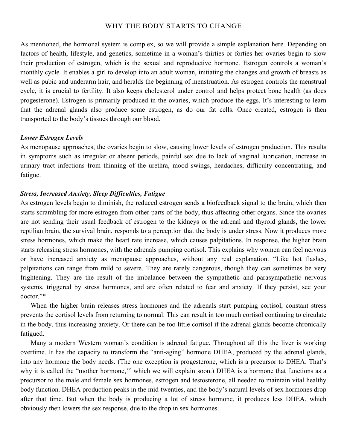# WHY THE BODY STARTS TO CHANGE

As mentioned, the hormonal system is complex, so we will provide a simple explanation here. Depending on factors of health, lifestyle, and genetics, sometime in a woman's thirties or forties her ovaries begin to slow their production of estrogen, which is the sexual and reproductive hormone. Estrogen controls a woman's monthly cycle. It enables a girl to develop into an adult woman, initiating the changes and growth of breasts as well as pubic and underarm hair, and heralds the beginning of menstruation. As estrogen controls the menstrual cycle, it is crucial to fertility. It also keeps cholesterol under control and helps protect bone health (as does progesterone). Estrogen is primarily produced in the ovaries, which produce the eggs. It's interesting to learn that the adrenal glands also produce some estrogen, as do our fat cells. Once created, estrogen is then transported to the body's tissues through our blood.

## *Lower Estrogen Levels*

As menopause approaches, the ovaries begin to slow, causing lower levels of estrogen production. This results in symptoms such as irregular or absent periods, painful sex due to lack of vaginal lubrication, increase in urinary tract infections from thinning of the urethra, mood swings, headaches, difficulty concentrating, and fatigue.

# *Stress, Increased Anxiety, Sleep Difficulties, Fatigue*

As estrogen levels begin to diminish, the reduced estrogen sends a biofeedback signal to the brain, which then starts scrambling for more estrogen from other parts of the body, thus affecting other organs. Since the ovaries are not sending their usual feedback of estrogen to the kidneys or the adrenal and thyroid glands, the lower reptilian brain, the survival brain, responds to a perception that the body is under stress. Now it produces more stress hormones, which make the heart rate increase, which causes palpitations. In response, the higher brain starts releasing stress hormones, with the adrenals pumping cortisol. This explains why women can feel nervous or have increased anxiety as menopause approaches, without any real explanation. "Like hot flashes, palpitations can range from mild to severe. They are rarely dangerous, though they can sometimes be very frightening. They are the result of the imbalance between the sympathetic and parasympathetic nervous systems, triggered by stress hormones, and are often related to fear and anxiety. If they persist, see your doctor."\*

When the higher brain releases stress hormones and the adrenals start pumping cortisol, constant stress prevents the cortisol levels from returning to normal. This can result in too much cortisol continuing to circulate in the body, thus increasing anxiety. Or there can be too little cortisol if the adrenal glands become chronically fatigued.

Many a modern Western woman's condition is adrenal fatigue. Throughout all this the liver is working overtime. It has the capacity to transform the "anti-aging" hormone DHEA, produced by the adrenal glands, into any hormone the body needs. (The one exception is progesterone, which is a precursor to DHEA. That's why it is called the "mother hormone," which we will explain soon.) DHEA is a hormone that functions as a precursor to the male and female sex hormones, estrogen and testosterone, all needed to maintain vital healthy body function. DHEA production peaks in the mid-twenties, and the body's natural levels of sex hormones drop after that time. But when the body is producing a lot of stress hormone, it produces less DHEA, which obviously then lowers the sex response, due to the drop in sex hormones.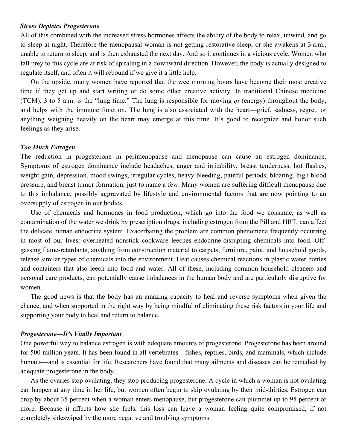## *Stress Depletes Progesterone*

All of this combined with the increased stress hormones affects the ability of the body to relax, unwind, and go to sleep at night. Therefore the menopausal woman is not getting restorative sleep, or she awakens at 3 a.m., unable to return to sleep, and is then exhausted the next day. And so it continues in a vicious cycle. Women who fall prey to this cycle are at risk of spiraling in a downward direction. However, the body is actually designed to regulate itself, and often it will rebound if we give it a little help.

On the upside, many women have reported that the wee morning hours have become their most creative time if they get up and start writing or do some other creative activity. In traditional Chinese medicine (TCM), 3 to 5 a.m. is the "lung time." The lung is responsible for moving *qi* (energy) throughout the body, and helps with the immune function. The lung is also associated with the heart—grief, sadness, regret, or anything weighing heavily on the heart may emerge at this time. It's good to recognize and honor such feelings as they arise.

#### *Too Much Estrogen*

The reduction in progesterone in perimenopause and menopause can cause an estrogen dominance. Symptoms of estrogen dominance include headaches, anger and irritability, breast tenderness, hot flashes, weight gain, depression, mood swings, irregular cycles, heavy bleeding, painful periods, bloating, high blood pressure, and breast tumor formation, just to name a few. Many women are suffering difficult menopause due to this imbalance, possibly aggravated by lifestyle and environmental factors that are now pointing to an oversupply of estrogen in our bodies.

Use of chemicals and hormones in food production, which go into the food we consume, as well as contamination of the water we drink by prescription drugs, including estrogen from the Pill and HRT, can affect the delicate human endocrine system. Exacerbating the problem are common phenomena frequently occurring in most of our lives: overheated nonstick cookware leeches endocrine-disrupting chemicals into food. Offgassing flame-retardants, anything from construction material to carpets, furniture, paint, and household goods, release similar types of chemicals into the environment. Heat causes chemical reactions in plastic water bottles and containers that also leech into food and water. All of these, including common household cleaners and personal care products, can potentially cause imbalances in the human body and are particularly disruptive for women.

The good news is that the body has an amazing capacity to heal and reverse symptoms when given the chance, and when supported in the right way by being mindful of eliminating these risk factors in your life and supporting your body to heal and return to balance.

#### *Progesterone—It's Vitally Important*

One powerful way to balance estrogen is with adequate amounts of progesterone. Progesterone has been around for 500 million years. It has been found in all vertebrates—fishes, reptiles, birds, and mammals, which include humans—and is essential for life. Researchers have found that many ailments and diseases can be remedied by adequate progesterone in the body.

As the ovaries stop ovulating, they stop producing progesterone. A cycle in which a woman is not ovulating can happen at any time in her life, but women often begin to skip ovulating by their mid-thirties. Estrogen can drop by about 35 percent when a woman enters menopause, but progesterone can plummet up to 95 percent or more. Because it affects how she feels, this loss can leave a woman feeling quite compromised, if not completely sideswiped by the more negative and troubling symptoms.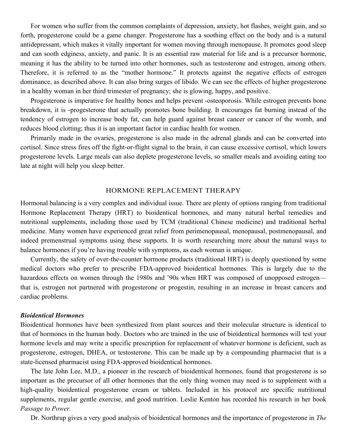For women who suffer from the common complaints of depression, anxiety, hot flashes, weight gain, and so forth, progesterone could be a game changer. Progesterone has a soothing effect on the body and is a natural antidepressant, which makes it vitally important for women moving through menopause. It promotes good sleep and can sooth edginess, anxiety, and panic. It is an essential raw material for life and is a precursor hormone, meaning it has the ability to be turned into other hormones, such as testosterone and estrogen, among others. Therefore, it is referred to as the "mother hormone." It protects against the negative effects of estrogen dominance, as described above. It can also bring surges of libido. We can see the effects of higher progesterone in a healthy woman in her third trimester of pregnancy; she is glowing, happy, and positive.

Progesterone is imperative for healthy bones and helps prevent -osteoporosis. While estrogen prevents bone breakdown, it is -progesterone that actually promotes bone building. It encourages fat burning instead of the tendency of estrogen to increase body fat, can help guard against breast cancer or cancer of the womb, and reduces blood clotting; thus it is an important factor in cardiac health for women.

Primarily made in the ovaries, progesterone is also made in the adrenal glands and can be converted into cortisol. Since stress fires off the fight-or-flight signal to the brain, it can cause excessive cortisol, which lowers progesterone levels. Large meals can also deplete progesterone levels, so smaller meals and avoiding eating too late at night will help you sleep better.

# HORMONE REPLACEMENT THERAPY

Hormonal balancing is a very complex and individual issue. There are plenty of options ranging from traditional Hormone Replacement Therapy (HRT) to bioidentical hormones, and many natural herbal remedies and nutritional supplements, including those used by TCM (traditional Chinese medicine) and traditional herbal medicine. Many women have experienced great relief from perimenopausal, menopausal, postmenopausal, and indeed premenstrual symptoms using these supports. It is worth researching more about the natural ways to balance hormones if you're having trouble with symptoms, as each woman is unique.

Currently, the safety of over-the-counter hormone products (traditional HRT) is deeply questioned by some medical doctors who prefer to prescribe FDA-approved bioidentical hormones. This is largely due to the hazardous effects on women through the 1980s and '90s when HRT was composed of unopposed estrogen that is, estrogen not partnered with progesterone or progestin, resulting in an increase in breast cancers and cardiac problems.

# *Bioidentical Hormones*

Bioidentical hormones have been synthesized from plant sources and their molecular structure is identical to that of hormones in the human body. Doctors who are trained in the use of bioidentical hormones will test your hormone levels and may write a specific prescription for replacement of whatever hormone is deficient, such as progesterone, estrogen, DHEA, or testosterone. This can be made up by a compounding pharmacist that is a state-licensed pharmacist using FDA-approved bioidentical hormones.

The late John Lee, M.D., a pioneer in the research of bioidentical hormones, found that progesterone is so important as the precursor of all other hormones that the only thing women may need is to supplement with a high-quality bioidentical progesterone cream or tablets. Included in his protocol are specific nutritional supplements, regular gentle exercise, and good nutrition. Leslie Kenton has recorded his research in her book *Passage to Power.*

Dr. Northrup gives a very good analysis of bioidentical hormones and the importance of progesterone in *The*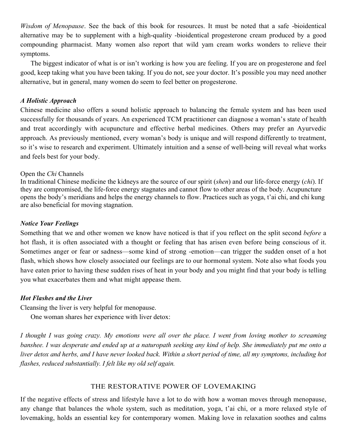*Wisdom of Menopause*. See the back of this book for resources. It must be noted that a safe -bioidentical alternative may be to supplement with a high-quality -bioidentical progesterone cream produced by a good compounding pharmacist. Many women also report that wild yam cream works wonders to relieve their symptoms.

The biggest indicator of what is or isn't working is how you are feeling. If you are on progesterone and feel good, keep taking what you have been taking. If you do not, see your doctor. It's possible you may need another alternative, but in general, many women do seem to feel better on progesterone.

# *A Holistic Approach*

Chinese medicine also offers a sound holistic approach to balancing the female system and has been used successfully for thousands of years. An experienced TCM practitioner can diagnose a woman's state of health and treat accordingly with acupuncture and effective herbal medicines. Others may prefer an Ayurvedic approach. As previously mentioned, every woman's body is unique and will respond differently to treatment, so it's wise to research and experiment. Ultimately intuition and a sense of well-being will reveal what works and feels best for your body.

# Open the *Chi* Channels

In traditional Chinese medicine the kidneys are the source of our spirit (*shen*) and our life-force energy (*chi*). If they are compromised, the life-force energy stagnates and cannot flow to other areas of the body. Acupuncture opens the body's meridians and helps the energy channels to flow. Practices such as yoga, t'ai chi, and chi kung are also beneficial for moving stagnation.

# *Notice Your Feelings*

Something that we and other women we know have noticed is that if you reflect on the split second *before* a hot flash, it is often associated with a thought or feeling that has arisen even before being conscious of it. Sometimes anger or fear or sadness—some kind of strong -emotion—can trigger the sudden onset of a hot flash, which shows how closely associated our feelings are to our hormonal system. Note also what foods you have eaten prior to having these sudden rises of heat in your body and you might find that your body is telling you what exacerbates them and what might appease them.

# *Hot Flashes and the Liver*

Cleansing the liver is very helpful for menopause.

One woman shares her experience with liver detox:

*I thought I was going crazy. My emotions were all over the place. I went from loving mother to screaming banshee. I was desperate and ended up at a naturopath seeking any kind of help. She immediately put me onto a liver detox and herbs, and I have never looked back. Within a short period of time, all my symptoms, including hot flashes, reduced substantially. I felt like my old self again.*

### THE RESTORATIVE POWER OF LOVEMAKING

If the negative effects of stress and lifestyle have a lot to do with how a woman moves through menopause, any change that balances the whole system, such as meditation, yoga, t'ai chi, or a more relaxed style of lovemaking, holds an essential key for contemporary women. Making love in relaxation soothes and calms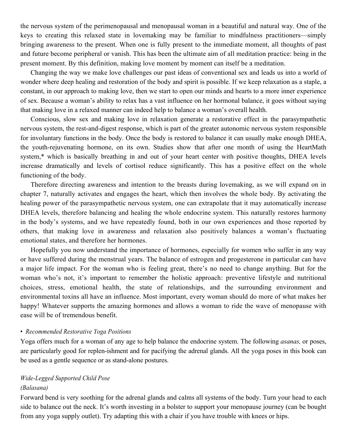the nervous system of the perimenopausal and menopausal woman in a beautiful and natural way. One of the keys to creating this relaxed state in lovemaking may be familiar to mindfulness practitioners—simply bringing awareness to the present. When one is fully present to the immediate moment, all thoughts of past and future become peripheral or vanish. This has been the ultimate aim of all meditation practice: being in the present moment. By this definition, making love moment by moment can itself be a meditation.

Changing the way we make love challenges our past ideas of conventional sex and leads us into a world of wonder where deep healing and restoration of the body and spirit is possible. If we keep relaxation as a staple, a constant, in our approach to making love, then we start to open our minds and hearts to a more inner experience of sex. Because a woman's ability to relax has a vast influence on her hormonal balance, it goes without saying that making love in a relaxed manner can indeed help to balance a woman's overall health.

Conscious, slow sex and making love in relaxation generate a restorative effect in the parasympathetic nervous system, the rest-and-digest response, which is part of the greater autonomic nervous system responsible for involuntary functions in the body. Once the body is restored to balance it can usually make enough DHEA, the youth-rejuvenating hormone, on its own. Studies show that after one month of using the HeartMath system,\* which is basically breathing in and out of your heart center with positive thoughts, DHEA levels increase dramatically and levels of cortisol reduce significantly. This has a positive effect on the whole functioning of the body.

Therefore directing awareness and intention to the breasts during lovemaking, as we will expand on in chapter 7, naturally activates and engages the heart, which then involves the whole body. By activating the healing power of the parasympathetic nervous system, one can extrapolate that it may automatically increase DHEA levels, therefore balancing and healing the whole endocrine system. This naturally restores harmony in the body's systems, and we have repeatedly found, both in our own experiences and those reported by others, that making love in awareness and relaxation also positively balances a woman's fluctuating emotional states, and therefore her hormones.

Hopefully you now understand the importance of hormones, especially for women who suffer in any way or have suffered during the menstrual years. The balance of estrogen and progesterone in particular can have a major life impact. For the woman who is feeling great, there's no need to change anything. But for the woman who's not, it's important to remember the holistic approach: preventive lifestyle and nutritional choices, stress, emotional health, the state of relationships, and the surrounding environment and environmental toxins all have an influence. Most important, every woman should do more of what makes her happy! Whatever supports the amazing hormones and allows a woman to ride the wave of menopause with ease will be of tremendous benefit.

#### • *Recommended Restorative Yoga Positions*

Yoga offers much for a woman of any age to help balance the endocrine system. The following *asanas,* or poses, are particularly good for replen-ishment and for pacifying the adrenal glands. All the yoga poses in this book can be used as a gentle sequence or as stand-alone postures.

# *Wide-Legged Supported Child Pose (Balasana)*

Forward bend is very soothing for the adrenal glands and calms all systems of the body. Turn your head to each side to balance out the neck. It's worth investing in a bolster to support your menopause journey (can be bought from any yoga supply outlet). Try adapting this with a chair if you have trouble with knees or hips.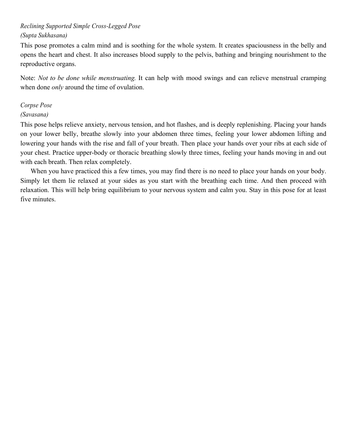# *Reclining Supported Simple Cross-Legged Pose*

# *(Supta Sukhasana)*

This pose promotes a calm mind and is soothing for the whole system. It creates spaciousness in the belly and opens the heart and chest. It also increases blood supply to the pelvis, bathing and bringing nourishment to the reproductive organs.

Note: *Not to be done while menstruating.* It can help with mood swings and can relieve menstrual cramping when done *only* around the time of ovulation.

# *Corpse Pose*

# *(Savasana)*

This pose helps relieve anxiety, nervous tension, and hot flashes, and is deeply replenishing. Placing your hands on your lower belly, breathe slowly into your abdomen three times, feeling your lower abdomen lifting and lowering your hands with the rise and fall of your breath. Then place your hands over your ribs at each side of your chest. Practice upper-body or thoracic breathing slowly three times, feeling your hands moving in and out with each breath. Then relax completely.

When you have practiced this a few times, you may find there is no need to place your hands on your body. Simply let them lie relaxed at your sides as you start with the breathing each time. And then proceed with relaxation. This will help bring equilibrium to your nervous system and calm you. Stay in this pose for at least five minutes.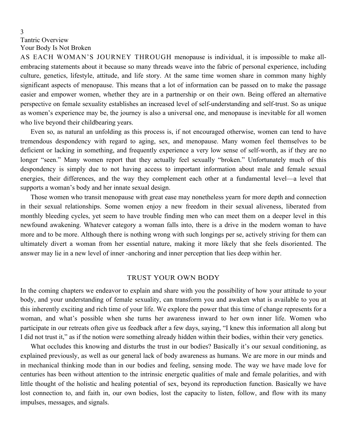# 3 Tantric Overview Your Body Is Not Broken

AS EACH WOMAN'S JOURNEY THROUGH menopause is individual, it is impossible to make allembracing statements about it because so many threads weave into the fabric of personal experience, including culture, genetics, lifestyle, attitude, and life story. At the same time women share in common many highly significant aspects of menopause. This means that a lot of information can be passed on to make the passage easier and empower women, whether they are in a partnership or on their own. Being offered an alternative perspective on female sexuality establishes an increased level of self-understanding and self-trust. So as unique as women's experience may be, the journey is also a universal one, and menopause is inevitable for all women who live beyond their childbearing years.

Even so, as natural an unfolding as this process is, if not encouraged otherwise, women can tend to have tremendous despondency with regard to aging, sex, and menopause. Many women feel themselves to be deficient or lacking in something, and frequently experience a very low sense of self-worth, as if they are no longer "seen." Many women report that they actually feel sexually "broken." Unfortunately much of this despondency is simply due to not having access to important information about male and female sexual energies, their differences, and the way they complement each other at a fundamental level—a level that supports a woman's body and her innate sexual design.

Those women who transit menopause with great ease may nonetheless yearn for more depth and connection in their sexual relationships. Some women enjoy a new freedom in their sexual aliveness, liberated from monthly bleeding cycles, yet seem to have trouble finding men who can meet them on a deeper level in this newfound awakening. Whatever category a woman falls into, there is a drive in the modern woman to have more and to be more. Although there is nothing wrong with such longings per se, actively striving for them can ultimately divert a woman from her essential nature, making it more likely that she feels disoriented. The answer may lie in a new level of inner -anchoring and inner perception that lies deep within her.

# TRUST YOUR OWN BODY

In the coming chapters we endeavor to explain and share with you the possibility of how your attitude to your body, and your understanding of female sexuality, can transform you and awaken what is available to you at this inherently exciting and rich time of your life. We explore the power that this time of change represents for a woman, and what's possible when she turns her awareness inward to her own inner life. Women who participate in our retreats often give us feedback after a few days, saying, "I knew this information all along but I did not trust it," as if the notion were something already hidden within their bodies, within their very genetics.

What occludes this knowing and disturbs the trust in our bodies? Basically it's our sexual conditioning, as explained previously, as well as our general lack of body awareness as humans. We are more in our minds and in mechanical thinking mode than in our bodies and feeling, sensing mode. The way we have made love for centuries has been without attention to the intrinsic energetic qualities of male and female polarities, and with little thought of the holistic and healing potential of sex, beyond its reproduction function. Basically we have lost connection to, and faith in, our own bodies, lost the capacity to listen, follow, and flow with its many impulses, messages, and signals.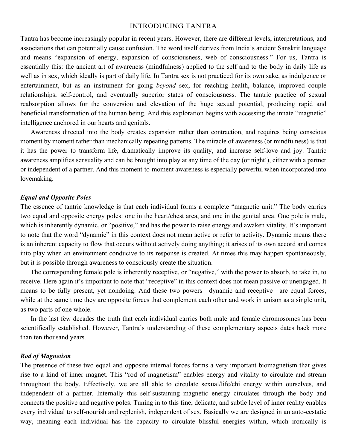# INTRODUCING TANTRA

Tantra has become increasingly popular in recent years. However, there are different levels, interpretations, and associations that can potentially cause confusion. The word itself derives from India's ancient Sanskrit language and means "expansion of energy, expansion of consciousness, web of consciousness." For us, Tantra is essentially this: the ancient art of awareness (mindfulness) applied to the self and to the body in daily life as well as in sex, which ideally is part of daily life. In Tantra sex is not practiced for its own sake, as indulgence or entertainment, but as an instrument for going *beyond* sex, for reaching health, balance, improved couple relationships, self-control, and eventually superior states of consciousness. The tantric practice of sexual reabsorption allows for the conversion and elevation of the huge sexual potential, producing rapid and beneficial transformation of the human being. And this exploration begins with accessing the innate "magnetic" intelligence anchored in our hearts and genitals.

Awareness directed into the body creates expansion rather than contraction, and requires being conscious moment by moment rather than mechanically repeating patterns. The miracle of awareness (or mindfulness) is that it has the power to transform life, dramatically improve its quality, and increase self-love and joy. Tantric awareness amplifies sensuality and can be brought into play at any time of the day (or night!), either with a partner or independent of a partner. And this moment-to-moment awareness is especially powerful when incorporated into lovemaking.

#### *Equal and Opposite Poles*

The essence of tantric knowledge is that each individual forms a complete "magnetic unit." The body carries two equal and opposite energy poles: one in the heart/chest area, and one in the genital area. One pole is male, which is inherently dynamic, or "positive," and has the power to raise energy and awaken vitality. It's important to note that the word "dynamic" in this context does not mean active or refer to activity. Dynamic means there is an inherent capacity to flow that occurs without actively doing anything; it arises of its own accord and comes into play when an environment conducive to its response is created. At times this may happen spontaneously, but it is possible through awareness to consciously create the situation.

The corresponding female pole is inherently receptive, or "negative," with the power to absorb, to take in, to receive. Here again it's important to note that "receptive" in this context does not mean passive or unengaged. It means to be fully present, yet nondoing. And these two powers—dynamic and receptive—are equal forces, while at the same time they are opposite forces that complement each other and work in unison as a single unit, as two parts of one whole.

In the last few decades the truth that each individual carries both male and female chromosomes has been scientifically established. However, Tantra's understanding of these complementary aspects dates back more than ten thousand years.

# *Rod of Magnetism*

The presence of these two equal and opposite internal forces forms a very important biomagnetism that gives rise to a kind of inner magnet. This "rod of magnetism" enables energy and vitality to circulate and stream throughout the body. Effectively, we are all able to circulate sexual/life/chi energy within ourselves, and independent of a partner. Internally this self-sustaining magnetic energy circulates through the body and connects the positive and negative poles. Tuning in to this fine, delicate, and subtle level of inner reality enables every individual to self-nourish and replenish, independent of sex. Basically we are designed in an auto-ecstatic way, meaning each individual has the capacity to circulate blissful energies within, which ironically is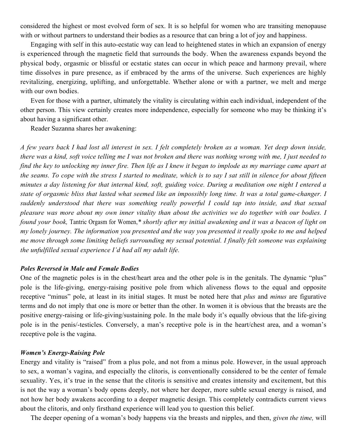considered the highest or most evolved form of sex. It is so helpful for women who are transiting menopause with or without partners to understand their bodies as a resource that can bring a lot of joy and happiness.

Engaging with self in this auto-ecstatic way can lead to heightened states in which an expansion of energy is experienced through the magnetic field that surrounds the body. When the awareness expands beyond the physical body, orgasmic or blissful or ecstatic states can occur in which peace and harmony prevail, where time dissolves in pure presence, as if embraced by the arms of the universe. Such experiences are highly revitalizing, energizing, uplifting, and unforgettable. Whether alone or with a partner, we melt and merge with our own bodies.

Even for those with a partner, ultimately the vitality is circulating within each individual, independent of the other person. This view certainly creates more independence, especially for someone who may be thinking it's about having a significant other.

Reader Suzanna shares her awakening:

*A few years back I had lost all interest in sex. I felt completely broken as a woman. Yet deep down inside, there was a kind, soft voice telling me I was not broken and there was nothing wrong with me, I just needed to find the key to unlocking my inner fire. Then life as I knew it began to implode as my marriage came apart at the seams. To cope with the stress I started to meditate, which is to say I sat still in silence for about fifteen minutes a day listening for that internal kind, soft, guiding voice. During a meditation one night I entered a state of orgasmic bliss that lasted what seemed like an impossibly long time. It was a total game-changer. I suddenly understood that there was something really powerful I could tap into inside, and that sexual pleasure was more about my own inner vitality than about the activities we do together with our bodies. I found your book,* Tantric Orgasm for Women,*\* shortly after my initial awakening and it was a beacon of light on my lonely journey. The information you presented and the way you presented it really spoke to me and helped me move through some limiting beliefs surrounding my sexual potential. I finally felt someone was explaining the unfulfilled sexual experience I'd had all my adult life.*

# *Poles Reversed in Male and Female Bodies*

One of the magnetic poles is in the chest/heart area and the other pole is in the genitals. The dynamic "plus" pole is the life-giving, energy-raising positive pole from which aliveness flows to the equal and opposite receptive "minus" pole, at least in its initial stages. It must be noted here that *plus* and *minus* are figurative terms and do not imply that one is more or better than the other. In women it is obvious that the breasts are the positive energy-raising or life-giving/sustaining pole. In the male body it's equally obvious that the life-giving pole is in the penis/-testicles. Conversely, a man's receptive pole is in the heart/chest area, and a woman's receptive pole is the vagina.

#### *Women's Energy-Raising Pole*

Energy and vitality is "raised" from a plus pole, and not from a minus pole. However, in the usual approach to sex, a woman's vagina, and especially the clitoris, is conventionally considered to be the center of female sexuality. Yes, it's true in the sense that the clitoris is sensitive and creates intensity and excitement, but this is not the way a woman's body opens deeply, not where her deeper, more subtle sexual energy is raised, and not how her body awakens according to a deeper magnetic design. This completely contradicts current views about the clitoris, and only firsthand experience will lead you to question this belief.

The deeper opening of a woman's body happens via the breasts and nipples, and then, *given the time,* will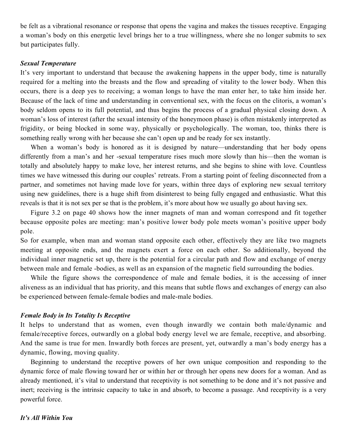be felt as a vibrational resonance or response that opens the vagina and makes the tissues receptive. Engaging a woman's body on this energetic level brings her to a true willingness, where she no longer submits to sex but participates fully.

## *Sexual Temperature*

It's very important to understand that because the awakening happens in the upper body, time is naturally required for a melting into the breasts and the flow and spreading of vitality to the lower body. When this occurs, there is a deep yes to receiving; a woman longs to have the man enter her, to take him inside her. Because of the lack of time and understanding in conventional sex, with the focus on the clitoris, a woman's body seldom opens to its full potential, and thus begins the process of a gradual physical closing down. A woman's loss of interest (after the sexual intensity of the honeymoon phase) is often mistakenly interpreted as frigidity, or being blocked in some way, physically or psychologically. The woman, too, thinks there is something really wrong with her because she can't open up and be ready for sex instantly.

When a woman's body is honored as it is designed by nature—understanding that her body opens differently from a man's and her -sexual temperature rises much more slowly than his—then the woman is totally and absolutely happy to make love, her interest returns, and she begins to shine with love. Countless times we have witnessed this during our couples' retreats. From a starting point of feeling disconnected from a partner, and sometimes not having made love for years, within three days of exploring new sexual territory using new guidelines, there is a huge shift from disinterest to being fully engaged and enthusiastic. What this reveals is that it is not sex per se that is the problem, it's more about how we usually go about having sex.

Figure 3.2 on page 40 shows how the inner magnets of man and woman correspond and fit together because opposite poles are meeting: man's positive lower body pole meets woman's positive upper body pole.

So for example, when man and woman stand opposite each other, effectively they are like two magnets meeting at opposite ends, and the magnets exert a force on each other. So additionally, beyond the individual inner magnetic set up, there is the potential for a circular path and flow and exchange of energy between male and female -bodies, as well as an expansion of the magnetic field surrounding the bodies.

While the figure shows the correspondence of male and female bodies, it is the accessing of inner aliveness as an individual that has priority, and this means that subtle flows and exchanges of energy can also be experienced between female-female bodies and male-male bodies.

#### *Female Body in Its Totality Is Receptive*

It helps to understand that as women, even though inwardly we contain both male/dynamic and female/receptive forces, outwardly on a global body energy level we are female, receptive, and absorbing. And the same is true for men. Inwardly both forces are present, yet, outwardly a man's body energy has a dynamic, flowing, moving quality.

Beginning to understand the receptive powers of her own unique composition and responding to the dynamic force of male flowing toward her or within her or through her opens new doors for a woman. And as already mentioned, it's vital to understand that receptivity is not something to be done and it's not passive and inert; receiving is the intrinsic capacity to take in and absorb, to become a passage. And receptivity is a very powerful force.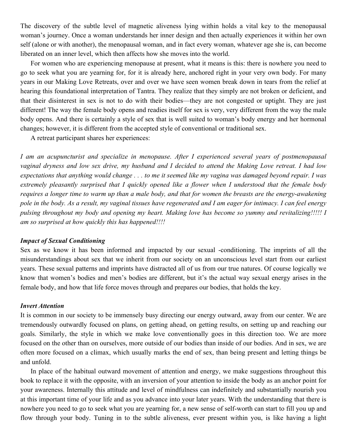The discovery of the subtle level of magnetic aliveness lying within holds a vital key to the menopausal woman's journey. Once a woman understands her inner design and then actually experiences it within her own self (alone or with another), the menopausal woman, and in fact every woman, whatever age she is, can become liberated on an inner level, which then affects how she moves into the world.

For women who are experiencing menopause at present, what it means is this: there is nowhere you need to go to seek what you are yearning for, for it is already here, anchored right in your very own body. For many years in our Making Love Retreats, over and over we have seen women break down in tears from the relief at hearing this foundational interpretation of Tantra. They realize that they simply are not broken or deficient, and that their disinterest in sex is not to do with their bodies—they are not congested or uptight. They are just different! The way the female body opens and readies itself for sex is very, very different from the way the male body opens. And there is certainly a style of sex that is well suited to woman's body energy and her hormonal changes; however, it is different from the accepted style of conventional or traditional sex.

A retreat participant shares her experiences:

*I am an acupuncturist and specialize in menopause. After I experienced several years of postmenopausal vaginal dryness and low sex drive, my husband and I decided to attend the Making Love retreat. I had low expectations that anything would change . . . to me it seemed like my vagina was damaged beyond repair. I was extremely pleasantly surprised that I quickly opened like a flower when I understood that the female body requires a longer time to warm up than a male body, and that for women the breasts are the energy-awakening pole in the body. As a result, my vaginal tissues have regenerated and I am eager for intimacy. I can feel energy pulsing throughout my body and opening my heart. Making love has become so yummy and revitalizing!!!!! I am so surprised at how quickly this has happened!!!!*

#### *Impact of Sexual Conditioning*

Sex as we know it has been informed and impacted by our sexual -conditioning. The imprints of all the misunderstandings about sex that we inherit from our society on an unconscious level start from our earliest years. These sexual patterns and imprints have distracted all of us from our true natures. Of course logically we know that women's bodies and men's bodies are different, but it's the actual way sexual energy arises in the female body, and how that life force moves through and prepares our bodies, that holds the key.

# *Invert Attention*

It is common in our society to be immensely busy directing our energy outward, away from our center. We are tremendously outwardly focused on plans, on getting ahead, on getting results, on setting up and reaching our goals. Similarly, the style in which we make love conventionally goes in this direction too. We are more focused on the other than on ourselves, more outside of our bodies than inside of our bodies. And in sex, we are often more focused on a climax, which usually marks the end of sex, than being present and letting things be and unfold.

In place of the habitual outward movement of attention and energy, we make suggestions throughout this book to replace it with the opposite, with an inversion of your attention to inside the body as an anchor point for your awareness. Internally this attitude and level of mindfulness can indefinitely and substantially nourish you at this important time of your life and as you advance into your later years. With the understanding that there is nowhere you need to go to seek what you are yearning for, a new sense of self-worth can start to fill you up and flow through your body. Tuning in to the subtle aliveness, ever present within you, is like having a light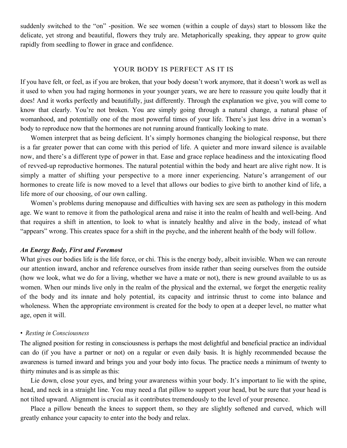suddenly switched to the "on" -position. We see women (within a couple of days) start to blossom like the delicate, yet strong and beautiful, flowers they truly are. Metaphorically speaking, they appear to grow quite rapidly from seedling to flower in grace and confidence.

#### YOUR BODY IS PERFECT AS IT IS

If you have felt, or feel, as if you are broken, that your body doesn't work anymore, that it doesn't work as well as it used to when you had raging hormones in your younger years, we are here to reassure you quite loudly that it does! And it works perfectly and beautifully, just differently. Through the explanation we give, you will come to know that clearly. You're not broken. You are simply going through a natural change, a natural phase of womanhood, and potentially one of the most powerful times of your life. There's just less drive in a woman's body to reproduce now that the hormones are not running around frantically looking to mate.

Women interpret that as being deficient. It's simply hormones changing the biological response, but there is a far greater power that can come with this period of life. A quieter and more inward silence is available now, and there's a different type of power in that. Ease and grace replace headiness and the intoxicating flood of revved-up reproductive hormones. The natural potential within the body and heart are alive right now. It is simply a matter of shifting your perspective to a more inner experiencing. Nature's arrangement of our hormones to create life is now moved to a level that allows our bodies to give birth to another kind of life, a life more of our choosing, of our own calling.

Women's problems during menopause and difficulties with having sex are seen as pathology in this modern age. We want to remove it from the pathological arena and raise it into the realm of health and well-being. And that requires a shift in attention, to look to what is innately healthy and alive in the body, instead of what "appears" wrong. This creates space for a shift in the psyche, and the inherent health of the body will follow.

#### *An Energy Body, First and Foremost*

What gives our bodies life is the life force, or chi. This is the energy body, albeit invisible. When we can reroute our attention inward, anchor and reference ourselves from inside rather than seeing ourselves from the outside (how we look, what we do for a living, whether we have a mate or not), there is new ground available to us as women. When our minds live only in the realm of the physical and the external, we forget the energetic reality of the body and its innate and holy potential, its capacity and intrinsic thrust to come into balance and wholeness. When the appropriate environment is created for the body to open at a deeper level, no matter what age, open it will.

#### • *Resting in Consciousness*

The aligned position for resting in consciousness is perhaps the most delightful and beneficial practice an individual can do (if you have a partner or not) on a regular or even daily basis. It is highly recommended because the awareness is turned inward and brings you and your body into focus. The practice needs a minimum of twenty to thirty minutes and is as simple as this:

Lie down, close your eyes, and bring your awareness within your body. It's important to lie with the spine, head, and neck in a straight line. You may need a flat pillow to support your head, but be sure that your head is not tilted upward. Alignment is crucial as it contributes tremendously to the level of your presence.

Place a pillow beneath the knees to support them, so they are slightly softened and curved, which will greatly enhance your capacity to enter into the body and relax.